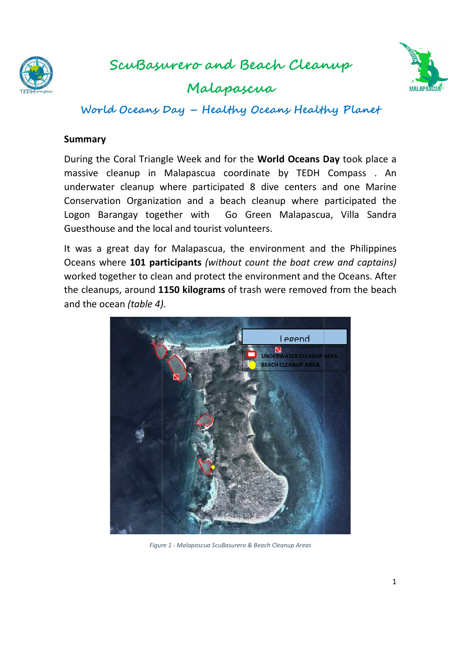

**ScuBasurero and Beach Cleanup Cleanup**

**Malapascua** 



**World Oceans Day – Healthy Oceans Healthy Pl ealthy Planet** 

#### **Summary**

During the Coral Triangle Week and for the World Oceans Day took place a massive cleanup in Malapascua coordinate by TEDH Compass. An underwater cleanup where participated 8 dive centers and one Marine<br>Conservation Organization and a beach cleanup where participated the Conservation Organization and a beach cleanup where participated the Logon Barangay together with Go Green Malapascua, Villa Sandra Guesthouse and the local and tourist volunteers. Conservation Organization and a beach cleanup where participated the<br>Logon Barangay together with Go Green Malapascua, Villa Sandra<br>Guesthouse and the local and tourist volunteers.<br>It was a great day for Malapascua, the en

Oceans where **101 participants** *(without count the boat crew and captains)* worked together to clean and protect the environment and the Oceans. After the cleanups, around 1150 kilograms of trash were removed from the beach and the ocean *(table 4)* .



*Figure 1 - Malapascua ScuBasurero & Beach Cleanup Areas*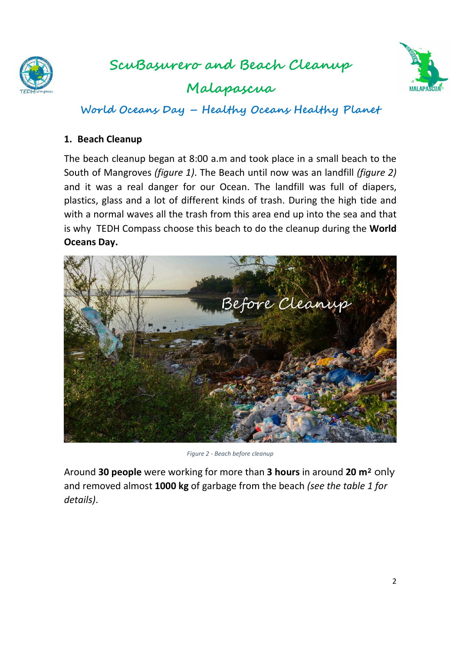

## **ScuBasurero and Beach Cleanup**

**Malapascua** 



**World Oceans Day – Healthy Oceans Healthy Planet** 

#### **1. Beach Cleanup**

The beach cleanup began at 8:00 a.m and took place in a small beach to the South of Mangroves *(figure 1)*. The Beach until now was an landfill *(figure 2)* and it was a real danger for our Ocean. The landfill was full of diapers, plastics, glass and a lot of different kinds of trash. During the high tide and with a normal waves all the trash from this area end up into the sea and that is why TEDH Compass choose this beach to do the cleanup during the **World Oceans Day.** 



*Figure 2 - Beach before cleanup* 

Around **30 people** were working for more than **3 hours** in around **20 m**² only and removed almost **1000 kg** of garbage from the beach *(see the table 1 for details)*.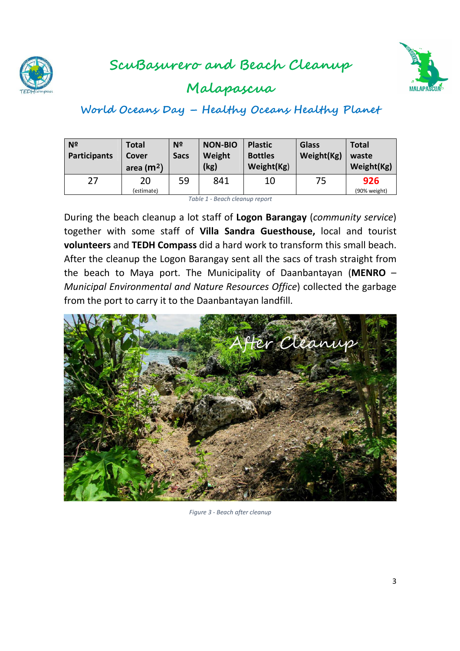



## **Malapascua**

# **World Oceans Day – Healthy Oceans Healthy Planet**

| N <sup>2</sup><br>Participants | Total<br><b>Cover</b><br>area $(m2)$ | N <sup>2</sup><br><b>Sacs</b> | <b>NON-BIO</b><br>Weight<br>(kg) | <b>Plastic</b><br><b>Bottles</b><br>Weight(Kg) | <b>Glass</b><br>Weight(Kg) | <b>Total</b><br>waste<br>Weight(Kg) |
|--------------------------------|--------------------------------------|-------------------------------|----------------------------------|------------------------------------------------|----------------------------|-------------------------------------|
| 27                             | 20<br>(estimate)                     | 59                            | 841                              | 10                                             | 75                         | 926<br>(90% weight)                 |

*Table 1 - Beach cleanup report*

During the beach cleanup a lot staff of **Logon Barangay** (*community service*) together with some staff of **Villa Sandra Guesthouse,** local and tourist **volunteers** and **TEDH Compass** did a hard work to transform this small beach. After the cleanup the Logon Barangay sent all the sacs of trash straight from the beach to Maya port. The Municipality of Daanbantayan (**MENRO** – *Municipal Environmental and Nature Resources Office*) collected the garbage from the port to carry it to the Daanbantayan landfill.



*Figure 3 - Beach after cleanup*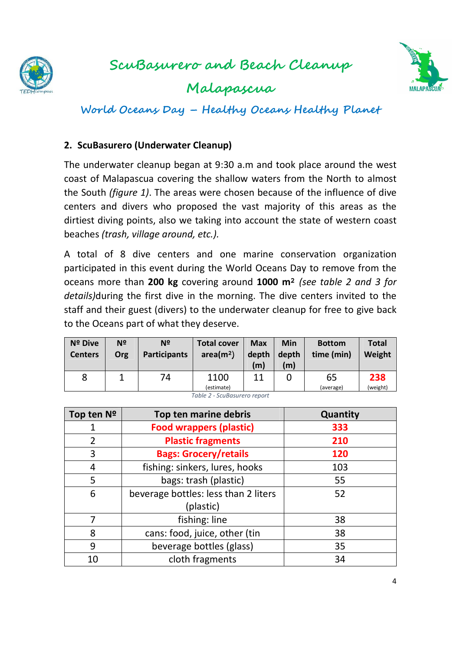

**Malapascua** 



**World Oceans Day – Healthy Oceans Healthy Planet** 

#### **2. ScuBasurero (Underwater Cleanup)**

The underwater cleanup began at 9:30 a.m and took place around the west coast of Malapascua covering the shallow waters from the North to almost the South *(figure 1)*. The areas were chosen because of the influence of dive centers and divers who proposed the vast majority of this areas as the dirtiest diving points, also we taking into account the state of western coast beaches *(trash, village around, etc.).* 

A total of 8 dive centers and one marine conservation organization participated in this event during the World Oceans Day to remove from the oceans more than **200 kg** covering around **1000 m**² *(see table 2 and 3 for details)*during the first dive in the morning. The dive centers invited to the staff and their guest (divers) to the underwater cleanup for free to give back to the Oceans part of what they deserve.

| Nº Dive<br><b>Centers</b> | N <sub>2</sub><br>Org | Nº<br><b>Participants</b> | <b>Total cover</b><br>area(m <sup>2</sup> ) | <b>Max</b><br>depth<br>(m) | Min<br>depth<br>$\mathsf{(m)}$ | <b>Bottom</b><br>time (min) | <b>Total</b><br>Weight |
|---------------------------|-----------------------|---------------------------|---------------------------------------------|----------------------------|--------------------------------|-----------------------------|------------------------|
| 8                         |                       | 74                        | 1100<br>(estimate)                          | 11                         |                                | 65<br>(average)             | 238<br>(weight)        |

*Table 2 - ScuBasurero report*

| Top ten Nº | Top ten marine debris                | Quantity |
|------------|--------------------------------------|----------|
| 1          | <b>Food wrappers (plastic)</b>       | 333      |
| 2          | <b>Plastic fragments</b>             | 210      |
| 3          | <b>Bags: Grocery/retails</b>         | 120      |
| 4          | fishing: sinkers, lures, hooks       | 103      |
| 5          | bags: trash (plastic)                | 55       |
| 6          | beverage bottles: less than 2 liters | 52       |
|            | (plastic)                            |          |
| 7          | fishing: line                        | 38       |
| 8          | cans: food, juice, other (tin        | 38       |
| 9          | beverage bottles (glass)             | 35       |
| 10         | cloth fragments                      | 34       |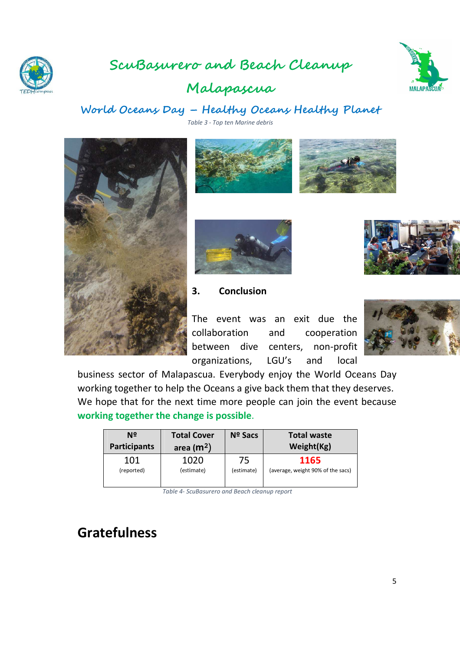

## **ScuBasurero and Beach Cleanup**



## **Malapascua**

### **World Oceans Day – Healthy Oceans Healthy Planet**

*Table 3 - Top ten Marine debris* 









**3. Conclusion**

The event was an exit due the collaboration and cooperation between dive centers, non-profit organizations, LGU's and local





business sector of Malapascua. Everybody enjoy the World Oceans Day working together to help the Oceans a give back them that they deserves. We hope that for the next time more people can join the event because **working together the change is possible**.

| Nº<br><b>Participants</b> | <b>Total Cover</b><br>area $(m2)$ | <b>Nº Sacs</b> | <b>Total waste</b><br>Weight(Kg)  |
|---------------------------|-----------------------------------|----------------|-----------------------------------|
| 101                       | 1020                              | 75             | 1165                              |
| (reported)                | (estimate)                        | (estimate)     | (average, weight 90% of the sacs) |

*Table 4- ScuBasurero and Beach cleanup report* 

# **Gratefulness**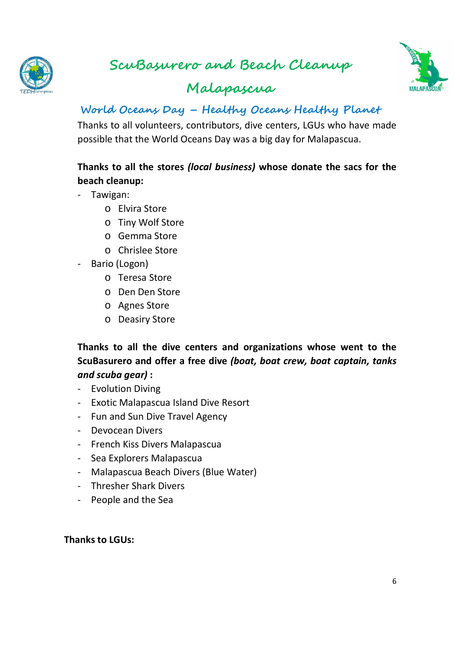

# **ScuBasurero and Beach Cleanup**



## **Malapascua**

### **World Oceans Day – Healthy Oceans Healthy Planet**

Thanks to all volunteers, contributors, dive centers, LGUs who have made possible that the World Oceans Day was a big day for Malapascua.

### **Thanks to all the stores** *(local business)* **whose donate the sacs for the beach cleanup:**

- Tawigan:
	- o Elvira Store
	- o Tiny Wolf Store
	- o Gemma Store
	- o Chrislee Store
- Bario (Logon)
	- o Teresa Store
	- o Den Den Store
	- o Agnes Store
	- o Deasiry Store

**Thanks to all the dive centers and organizations whose went to the ScuBasurero and offer a free dive** *(boat, boat crew, boat captain, tanks and scuba gear)* **:** 

- Evolution Diving
- Exotic Malapascua Island Dive Resort
- Fun and Sun Dive Travel Agency
- Devocean Divers
- French Kiss Divers Malapascua
- Sea Explorers Malapascua
- Malapascua Beach Divers (Blue Water)
- Thresher Shark Divers
- People and the Sea

#### **Thanks to LGUs:**